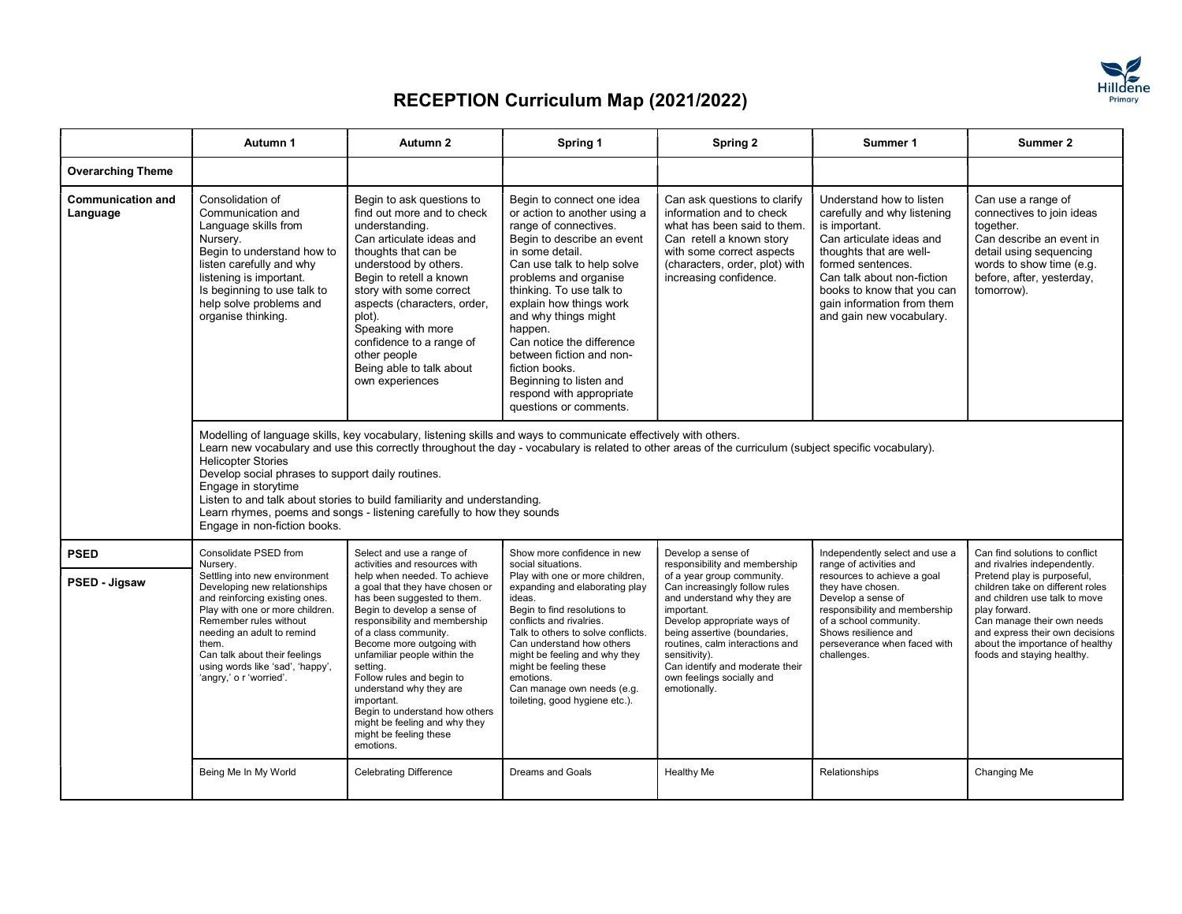

|                                      | Autumn 1                                                                                                                                                                                                                                                                                            | Autumn 2                                                                                                                                                                                                                                                                                                                                                                                                                                         | Spring 1                                                                                                                                                                                                                                                                                                                                                                                                                                         | Spring 2                                                                                                                                                                                                                                                                                                    | Summer 1                                                                                                                                                                                                                                                                   | Summer 2                                                                                                                                                                                                                                            |  |
|--------------------------------------|-----------------------------------------------------------------------------------------------------------------------------------------------------------------------------------------------------------------------------------------------------------------------------------------------------|--------------------------------------------------------------------------------------------------------------------------------------------------------------------------------------------------------------------------------------------------------------------------------------------------------------------------------------------------------------------------------------------------------------------------------------------------|--------------------------------------------------------------------------------------------------------------------------------------------------------------------------------------------------------------------------------------------------------------------------------------------------------------------------------------------------------------------------------------------------------------------------------------------------|-------------------------------------------------------------------------------------------------------------------------------------------------------------------------------------------------------------------------------------------------------------------------------------------------------------|----------------------------------------------------------------------------------------------------------------------------------------------------------------------------------------------------------------------------------------------------------------------------|-----------------------------------------------------------------------------------------------------------------------------------------------------------------------------------------------------------------------------------------------------|--|
| <b>Overarching Theme</b>             |                                                                                                                                                                                                                                                                                                     |                                                                                                                                                                                                                                                                                                                                                                                                                                                  |                                                                                                                                                                                                                                                                                                                                                                                                                                                  |                                                                                                                                                                                                                                                                                                             |                                                                                                                                                                                                                                                                            |                                                                                                                                                                                                                                                     |  |
| <b>Communication and</b><br>Language | Consolidation of<br>Communication and<br>Language skills from<br>Nursery.<br>Begin to understand how to<br>listen carefully and why<br>listening is important.<br>Is beginning to use talk to<br>help solve problems and<br>organise thinking.                                                      | Begin to ask questions to<br>find out more and to check<br>understanding.<br>Can articulate ideas and<br>thoughts that can be<br>understood by others.<br>Begin to retell a known<br>story with some correct<br>aspects (characters, order,<br>plot).<br>Speaking with more<br>confidence to a range of<br>other people<br>Being able to talk about<br>own experiences                                                                           | Begin to connect one idea<br>or action to another using a<br>range of connectives.<br>Begin to describe an event<br>in some detail.<br>Can use talk to help solve<br>problems and organise<br>thinking. To use talk to<br>explain how things work<br>and why things might<br>happen.<br>Can notice the difference<br>between fiction and non-<br>fiction books.<br>Beginning to listen and<br>respond with appropriate<br>questions or comments. | Can ask questions to clarify<br>information and to check<br>what has been said to them.<br>Can retell a known story<br>with some correct aspects<br>(characters, order, plot) with<br>increasing confidence.                                                                                                | Understand how to listen<br>carefully and why listening<br>is important.<br>Can articulate ideas and<br>thoughts that are well-<br>formed sentences.<br>Can talk about non-fiction<br>books to know that you can<br>gain information from them<br>and gain new vocabulary. | Can use a range of<br>connectives to join ideas<br>together.<br>Can describe an event in<br>detail using sequencing<br>words to show time (e.g.<br>before, after, yesterday,<br>tomorrow).                                                          |  |
|                                      | <b>Helicopter Stories</b><br>Develop social phrases to support daily routines.<br>Engage in storytime<br>Engage in non-fiction books.                                                                                                                                                               | Modelling of language skills, key vocabulary, listening skills and ways to communicate effectively with others.<br>Learn new vocabulary and use this correctly throughout the day - vocabulary is related to other areas of the curriculum (subject specific vocabulary).<br>Listen to and talk about stories to build familiarity and understanding.<br>Learn rhymes, poems and songs - listening carefully to how they sounds                  |                                                                                                                                                                                                                                                                                                                                                                                                                                                  |                                                                                                                                                                                                                                                                                                             |                                                                                                                                                                                                                                                                            |                                                                                                                                                                                                                                                     |  |
| <b>PSED</b>                          | Consolidate PSED from<br>Nurserv.                                                                                                                                                                                                                                                                   | Select and use a range of<br>activities and resources with                                                                                                                                                                                                                                                                                                                                                                                       | Show more confidence in new<br>social situations.                                                                                                                                                                                                                                                                                                                                                                                                | Develop a sense of<br>responsibility and membership                                                                                                                                                                                                                                                         | Independently select and use a<br>range of activities and                                                                                                                                                                                                                  | Can find solutions to conflict<br>and rivalries independently.                                                                                                                                                                                      |  |
| PSED - Jigsaw                        | Settling into new environment<br>Developing new relationships<br>and reinforcing existing ones.<br>Play with one or more children.<br>Remember rules without<br>needing an adult to remind<br>them.<br>Can talk about their feelings<br>using words like 'sad', 'happy',<br>'angry,' o r 'worried'. | help when needed. To achieve<br>a goal that they have chosen or<br>has been suggested to them.<br>Begin to develop a sense of<br>responsibility and membership<br>of a class community.<br>Become more outgoing with<br>unfamiliar people within the<br>setting.<br>Follow rules and begin to<br>understand why they are<br>important.<br>Begin to understand how others<br>might be feeling and why they<br>might be feeling these<br>emotions. | Play with one or more children,<br>expanding and elaborating play<br>ideas.<br>Begin to find resolutions to<br>conflicts and rivalries.<br>Talk to others to solve conflicts.<br>Can understand how others<br>might be feeling and why they<br>might be feeling these<br>emotions.<br>Can manage own needs (e.g.<br>toileting, good hygiene etc.).                                                                                               | of a year group community.<br>Can increasingly follow rules<br>and understand why they are<br>important.<br>Develop appropriate ways of<br>being assertive (boundaries,<br>routines, calm interactions and<br>sensitivity).<br>Can identify and moderate their<br>own feelings socially and<br>emotionally. | resources to achieve a goal<br>they have chosen.<br>Develop a sense of<br>responsibility and membership<br>of a school community.<br>Shows resilience and<br>perseverance when faced with<br>challenges.                                                                   | Pretend play is purposeful,<br>children take on different roles<br>and children use talk to move<br>play forward.<br>Can manage their own needs<br>and express their own decisions<br>about the importance of healthy<br>foods and staying healthy. |  |
|                                      | Being Me In My World                                                                                                                                                                                                                                                                                | <b>Celebrating Difference</b>                                                                                                                                                                                                                                                                                                                                                                                                                    | Dreams and Goals                                                                                                                                                                                                                                                                                                                                                                                                                                 | Healthy Me                                                                                                                                                                                                                                                                                                  | Relationships                                                                                                                                                                                                                                                              | Changing Me                                                                                                                                                                                                                                         |  |
|                                      |                                                                                                                                                                                                                                                                                                     |                                                                                                                                                                                                                                                                                                                                                                                                                                                  |                                                                                                                                                                                                                                                                                                                                                                                                                                                  |                                                                                                                                                                                                                                                                                                             |                                                                                                                                                                                                                                                                            |                                                                                                                                                                                                                                                     |  |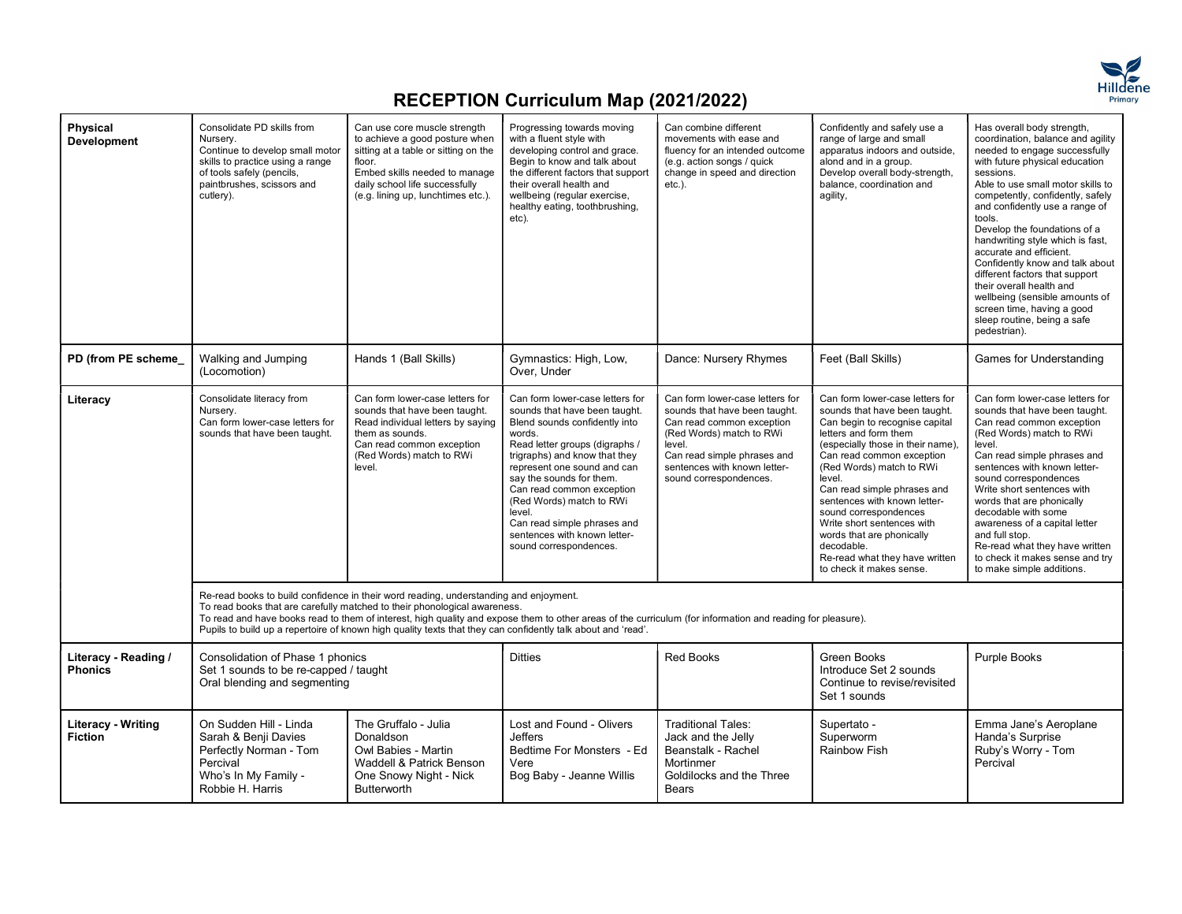

| Physical<br><b>Development</b>              | Consolidate PD skills from<br>Nursery.<br>Continue to develop small motor<br>skills to practice using a range<br>of tools safely (pencils,<br>paintbrushes, scissors and<br>cutlery). | Can use core muscle strength<br>to achieve a good posture when<br>sitting at a table or sitting on the<br>floor.<br>Embed skills needed to manage<br>daily school life successfully<br>(e.g. lining up, lunchtimes etc.).                                                                                                                                                                                                                        | Progressing towards moving<br>with a fluent style with<br>developing control and grace.<br>Begin to know and talk about<br>the different factors that support<br>their overall health and<br>wellbeing (regular exercise,<br>healthy eating, toothbrushing,<br>etc).                                                                                                                                  | Can combine different<br>movements with ease and<br>fluency for an intended outcome<br>(e.g. action songs / quick<br>change in speed and direction<br>etc.).                                                                 | Confidently and safely use a<br>range of large and small<br>apparatus indoors and outside,<br>alond and in a group.<br>Develop overall body-strength,<br>balance, coordination and<br>agility,                                                                                                                                                                                                                                                                     | Has overall body strength,<br>coordination, balance and agility<br>needed to engage successfully<br>with future physical education<br>sessions.<br>Able to use small motor skills to<br>competently, confidently, safely<br>and confidently use a range of<br>tools.<br>Develop the foundations of a<br>handwriting style which is fast,<br>accurate and efficient.<br>Confidently know and talk about<br>different factors that support<br>their overall health and<br>wellbeing (sensible amounts of<br>screen time, having a good<br>sleep routine, being a safe<br>pedestrian). |  |
|---------------------------------------------|---------------------------------------------------------------------------------------------------------------------------------------------------------------------------------------|--------------------------------------------------------------------------------------------------------------------------------------------------------------------------------------------------------------------------------------------------------------------------------------------------------------------------------------------------------------------------------------------------------------------------------------------------|-------------------------------------------------------------------------------------------------------------------------------------------------------------------------------------------------------------------------------------------------------------------------------------------------------------------------------------------------------------------------------------------------------|------------------------------------------------------------------------------------------------------------------------------------------------------------------------------------------------------------------------------|--------------------------------------------------------------------------------------------------------------------------------------------------------------------------------------------------------------------------------------------------------------------------------------------------------------------------------------------------------------------------------------------------------------------------------------------------------------------|-------------------------------------------------------------------------------------------------------------------------------------------------------------------------------------------------------------------------------------------------------------------------------------------------------------------------------------------------------------------------------------------------------------------------------------------------------------------------------------------------------------------------------------------------------------------------------------|--|
| PD (from PE scheme                          | Walking and Jumping<br>(Locomotion)                                                                                                                                                   | Hands 1 (Ball Skills)                                                                                                                                                                                                                                                                                                                                                                                                                            | Gymnastics: High, Low,<br>Over, Under                                                                                                                                                                                                                                                                                                                                                                 | Dance: Nursery Rhymes                                                                                                                                                                                                        | Feet (Ball Skills)                                                                                                                                                                                                                                                                                                                                                                                                                                                 | Games for Understanding                                                                                                                                                                                                                                                                                                                                                                                                                                                                                                                                                             |  |
| Literacy                                    | Consolidate literacy from<br>Nursery.<br>Can form lower-case letters for<br>sounds that have been taught.                                                                             | Can form lower-case letters for<br>sounds that have been taught.<br>Read individual letters by saying<br>them as sounds.<br>Can read common exception<br>(Red Words) match to RWi<br>level.                                                                                                                                                                                                                                                      | Can form lower-case letters for<br>sounds that have been taught.<br>Blend sounds confidently into<br>words.<br>Read letter groups (digraphs /<br>trigraphs) and know that they<br>represent one sound and can<br>say the sounds for them.<br>Can read common exception<br>(Red Words) match to RWi<br>level.<br>Can read simple phrases and<br>sentences with known letter-<br>sound correspondences. | Can form lower-case letters for<br>sounds that have been taught.<br>Can read common exception<br>(Red Words) match to RWi<br>level.<br>Can read simple phrases and<br>sentences with known letter-<br>sound correspondences. | Can form lower-case letters for<br>sounds that have been taught.<br>Can begin to recognise capital<br>letters and form them<br>(especially those in their name).<br>Can read common exception<br>(Red Words) match to RWi<br>level.<br>Can read simple phrases and<br>sentences with known letter-<br>sound correspondences<br>Write short sentences with<br>words that are phonically<br>decodable.<br>Re-read what they have written<br>to check it makes sense. | Can form lower-case letters for<br>sounds that have been taught.<br>Can read common exception<br>(Red Words) match to RWi<br>level.<br>Can read simple phrases and<br>sentences with known letter-<br>sound correspondences<br>Write short sentences with<br>words that are phonically<br>decodable with some<br>awareness of a capital letter<br>and full stop.<br>Re-read what they have written<br>to check it makes sense and try<br>to make simple additions.                                                                                                                  |  |
|                                             |                                                                                                                                                                                       | Re-read books to build confidence in their word reading, understanding and enjoyment.<br>To read books that are carefully matched to their phonological awareness.<br>To read and have books read to them of interest, high quality and expose them to other areas of the curriculum (for information and reading for pleasure).<br>Pupils to build up a repertoire of known high quality texts that they can confidently talk about and 'read'. |                                                                                                                                                                                                                                                                                                                                                                                                       |                                                                                                                                                                                                                              |                                                                                                                                                                                                                                                                                                                                                                                                                                                                    |                                                                                                                                                                                                                                                                                                                                                                                                                                                                                                                                                                                     |  |
| Literacy - Reading /<br><b>Phonics</b>      | Consolidation of Phase 1 phonics<br>Set 1 sounds to be re-capped / taught<br>Oral blending and segmenting                                                                             |                                                                                                                                                                                                                                                                                                                                                                                                                                                  | <b>Ditties</b>                                                                                                                                                                                                                                                                                                                                                                                        | <b>Red Books</b>                                                                                                                                                                                                             | Green Books<br>Introduce Set 2 sounds<br>Continue to revise/revisited<br>Set 1 sounds                                                                                                                                                                                                                                                                                                                                                                              | Purple Books                                                                                                                                                                                                                                                                                                                                                                                                                                                                                                                                                                        |  |
| <b>Literacy - Writing</b><br><b>Fiction</b> | On Sudden Hill - Linda<br>Sarah & Benji Davies<br>Perfectly Norman - Tom<br>Percival<br>Who's In My Family -<br>Robbie H. Harris                                                      | The Gruffalo - Julia<br>Donaldson<br>Owl Babies - Martin<br>Waddell & Patrick Benson<br>One Snowy Night - Nick<br>Butterworth                                                                                                                                                                                                                                                                                                                    | Lost and Found - Olivers<br><b>Jeffers</b><br>Bedtime For Monsters - Ed<br>Vere<br>Bog Baby - Jeanne Willis                                                                                                                                                                                                                                                                                           | <b>Traditional Tales:</b><br>Jack and the Jelly<br>Beanstalk - Rachel<br>Mortinmer<br>Goldilocks and the Three<br>Bears                                                                                                      | Supertato -<br>Superworm<br><b>Rainbow Fish</b>                                                                                                                                                                                                                                                                                                                                                                                                                    | Emma Jane's Aeroplane<br>Handa's Surprise<br>Ruby's Worry - Tom<br>Percival                                                                                                                                                                                                                                                                                                                                                                                                                                                                                                         |  |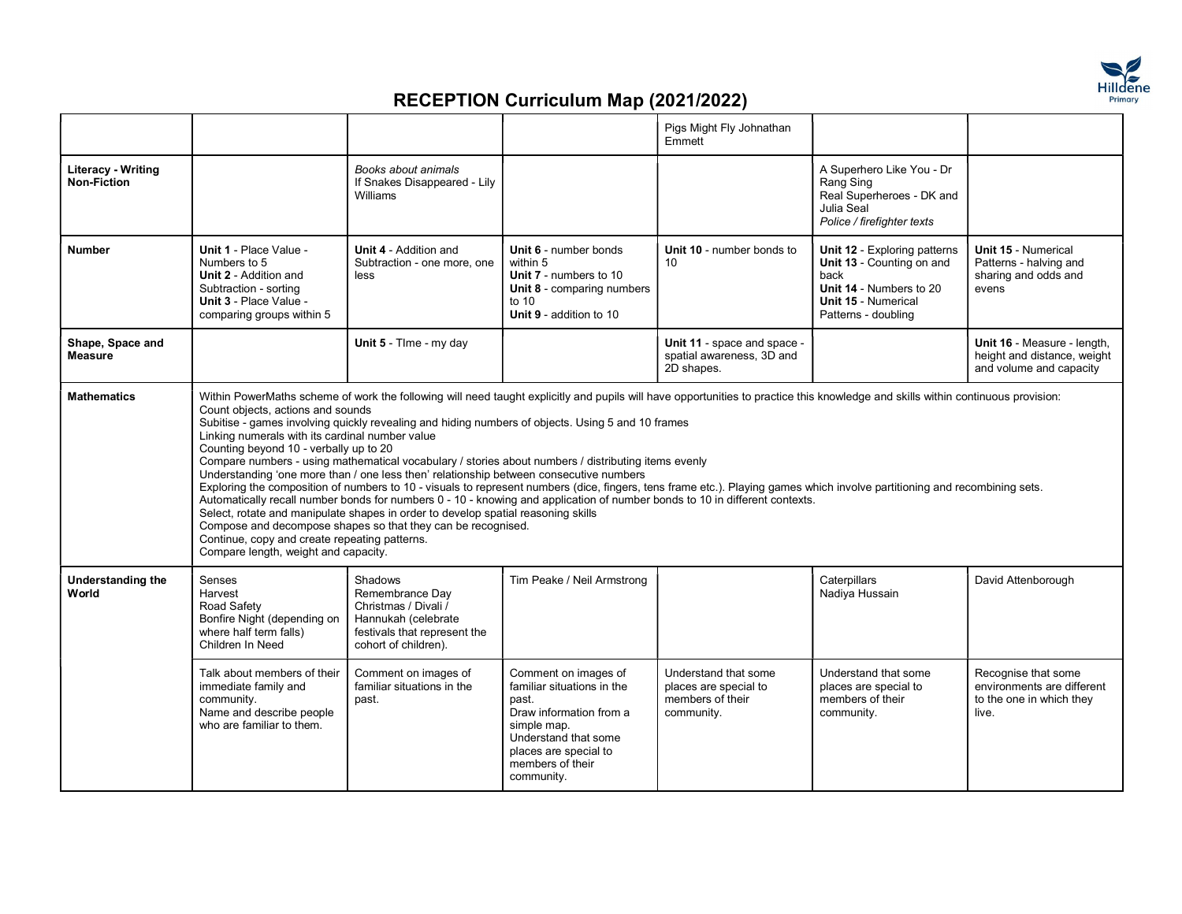

|                                          |                                                                                                                                                                                                                         |                                                                                                                                                                                                                                                                                                                                                                                                                                                         |                                                                                                                                                                                          | Pigs Might Fly Johnathan<br><b>Fmmett</b>                                                                                                                                                                                                                                                                 |                                                                                                                                                   |                                                                                        |
|------------------------------------------|-------------------------------------------------------------------------------------------------------------------------------------------------------------------------------------------------------------------------|---------------------------------------------------------------------------------------------------------------------------------------------------------------------------------------------------------------------------------------------------------------------------------------------------------------------------------------------------------------------------------------------------------------------------------------------------------|------------------------------------------------------------------------------------------------------------------------------------------------------------------------------------------|-----------------------------------------------------------------------------------------------------------------------------------------------------------------------------------------------------------------------------------------------------------------------------------------------------------|---------------------------------------------------------------------------------------------------------------------------------------------------|----------------------------------------------------------------------------------------|
| Literacy - Writing<br><b>Non-Fiction</b> |                                                                                                                                                                                                                         | Books about animals<br>If Snakes Disappeared - Lily<br>Williams                                                                                                                                                                                                                                                                                                                                                                                         |                                                                                                                                                                                          |                                                                                                                                                                                                                                                                                                           | A Superhero Like You - Dr<br>Rang Sing<br>Real Superheroes - DK and<br>Julia Seal<br>Police / firefighter texts                                   |                                                                                        |
| <b>Number</b>                            | Unit 1 - Place Value -<br>Numbers to 5<br><b>Unit 2 - Addition and</b><br>Subtraction - sorting<br>Unit 3 - Place Value -<br>comparing groups within 5                                                                  | <b>Unit 4 - Addition and</b><br>Subtraction - one more, one<br>less                                                                                                                                                                                                                                                                                                                                                                                     | <b>Unit 6 - number bonds</b><br>within 5<br>Unit 7 - numbers to 10<br><b>Unit 8 - comparing numbers</b><br>to $10$<br>Unit 9 - addition to 10                                            | Unit 10 - number bonds to<br>10                                                                                                                                                                                                                                                                           | Unit 12 - Exploring patterns<br>Unit 13 - Counting on and<br>back<br>Unit 14 - Numbers to 20<br><b>Unit 15 - Numerical</b><br>Patterns - doubling | Unit 15 - Numerical<br>Patterns - halving and<br>sharing and odds and<br>evens         |
| Shape, Space and<br><b>Measure</b>       |                                                                                                                                                                                                                         | Unit 5 - Time - my day                                                                                                                                                                                                                                                                                                                                                                                                                                  |                                                                                                                                                                                          | Unit 11 - space and space -<br>spatial awareness, 3D and<br>2D shapes.                                                                                                                                                                                                                                    |                                                                                                                                                   | Unit 16 - Measure - length,<br>height and distance, weight<br>and volume and capacity  |
|                                          | Count objects, actions and sounds<br>Linking numerals with its cardinal number value<br>Counting beyond 10 - verbally up to 20<br>Continue, copy and create repeating patterns.<br>Compare length, weight and capacity. | Subitise - games involving quickly revealing and hiding numbers of objects. Using 5 and 10 frames<br>Compare numbers - using mathematical vocabulary / stories about numbers / distributing items evenly<br>Understanding 'one more than / one less then' relationship between consecutive numbers<br>Select, rotate and manipulate shapes in order to develop spatial reasoning skills<br>Compose and decompose shapes so that they can be recognised. |                                                                                                                                                                                          | Exploring the composition of numbers to 10 - visuals to represent numbers (dice, fingers, tens frame etc.). Playing games which involve partitioning and recombining sets.<br>Automatically recall number bonds for numbers 0 - 10 - knowing and application of number bonds to 10 in different contexts. |                                                                                                                                                   |                                                                                        |
| <b>Understanding the</b><br>World        | Senses<br>Harvest<br>Road Safety<br>Bonfire Night (depending on<br>where half term falls)<br>Children In Need                                                                                                           | Shadows<br>Remembrance Day<br>Christmas / Divali /<br>Hannukah (celebrate<br>festivals that represent the<br>cohort of children).                                                                                                                                                                                                                                                                                                                       | Tim Peake / Neil Armstrong                                                                                                                                                               |                                                                                                                                                                                                                                                                                                           | Caterpillars<br>Nadiya Hussain                                                                                                                    | David Attenborough                                                                     |
|                                          | Talk about members of their<br>immediate family and<br>community.<br>Name and describe people<br>who are familiar to them.                                                                                              | Comment on images of<br>familiar situations in the<br>past.                                                                                                                                                                                                                                                                                                                                                                                             | Comment on images of<br>familiar situations in the<br>past.<br>Draw information from a<br>simple map.<br>Understand that some<br>places are special to<br>members of their<br>community. | Understand that some<br>places are special to<br>members of their<br>community.                                                                                                                                                                                                                           | Understand that some<br>places are special to<br>members of their<br>community.                                                                   | Recognise that some<br>environments are different<br>to the one in which they<br>live. |